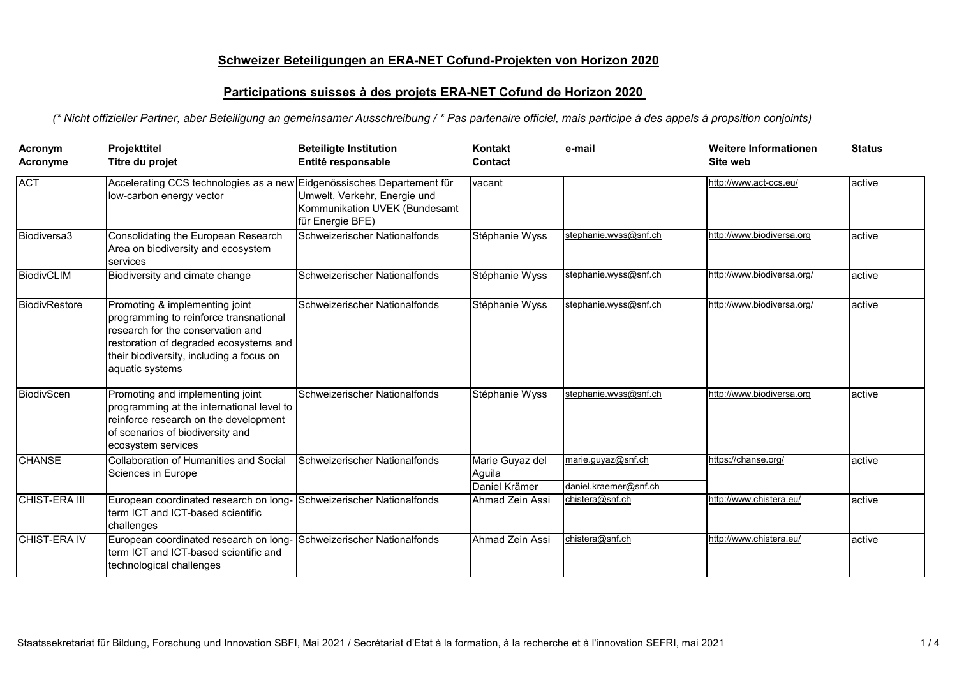## **Schweizer Beteiligungen an ERA-NET Cofund-Projekten von Horizon 2020**

## **Participations suisses à des projets ERA-NET Cofund de Horizon 2020**

*(\* Nicht offizieller Partner, aber Beteiligung an gemeinsamer Ausschreibung / \* Pas partenaire officiel, mais participe à des appels à propsition conjoints)* 

| Acronym<br>Acronyme | Projekttitel<br>Titre du projet                                                                                                                                                                                        | <b>Beteiligte Institution</b><br>Entité responsable                               | Kontakt<br>Contact                         | e-mail                                      | <b>Weitere Informationen</b><br>Site web | <b>Status</b> |
|---------------------|------------------------------------------------------------------------------------------------------------------------------------------------------------------------------------------------------------------------|-----------------------------------------------------------------------------------|--------------------------------------------|---------------------------------------------|------------------------------------------|---------------|
| <b>ACT</b>          | Accelerating CCS technologies as a new Eidgenössisches Departement für<br>low-carbon energy vector                                                                                                                     | Umwelt, Verkehr, Energie und<br>Kommunikation UVEK (Bundesamt<br>für Energie BFE) | vacant                                     |                                             | http://www.act-ccs.eu/                   | active        |
| Biodiversa3         | Consolidating the European Research<br>Area on biodiversity and ecosystem<br>services                                                                                                                                  | Schweizerischer Nationalfonds                                                     | Stéphanie Wyss                             | stephanie.wyss@snf.ch                       | http://www.biodiversa.org                | active        |
| BiodivCLIM          | Biodiversity and cimate change                                                                                                                                                                                         | Schweizerischer Nationalfonds                                                     | Stéphanie Wyss                             | stephanie.wyss@snf.ch                       | http://www.biodiversa.org/               | active        |
| BiodivRestore       | Promoting & implementing joint<br>programming to reinforce transnational<br>research for the conservation and<br>restoration of degraded ecosystems and<br>their biodiversity, including a focus on<br>aquatic systems | Schweizerischer Nationalfonds                                                     | Stéphanie Wyss                             | stephanie.wyss@snf.ch                       | http://www.biodiversa.org/               | active        |
| BiodivScen          | Promoting and implementing joint<br>programming at the international level to<br>reinforce research on the development<br>of scenarios of biodiversity and<br>ecosystem services                                       | Schweizerischer Nationalfonds                                                     | Stéphanie Wyss                             | stephanie.wyss@snf.ch                       | http://www.biodiversa.org                | active        |
| <b>CHANSE</b>       | <b>Collaboration of Humanities and Social</b><br>Sciences in Europe                                                                                                                                                    | Schweizerischer Nationalfonds                                                     | Marie Guyaz del<br>Aguila<br>Daniel Krämer | marie.guyaz@snf.ch<br>daniel.kraemer@snf.ch | https://chanse.org/                      | active        |
| CHIST-ERA III       | European coordinated research on long-<br>term ICT and ICT-based scientific<br>challenges                                                                                                                              | Schweizerischer Nationalfonds                                                     | Ahmad Zein Assi                            | chistera@snf.ch                             | http://www.chistera.eu/                  | active        |
| <b>CHIST-ERA IV</b> | European coordinated research on long-<br>term ICT and ICT-based scientific and<br>technological challenges                                                                                                            | Schweizerischer Nationalfonds                                                     | Ahmad Zein Assi                            | chistera@snf.ch                             | http://www.chistera.eu/                  | active        |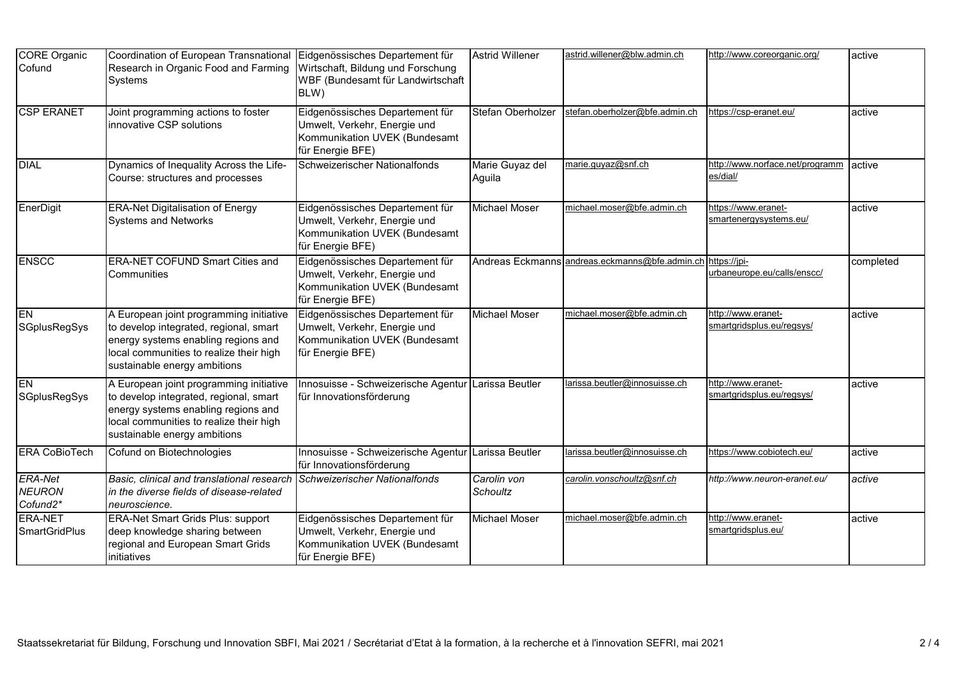| <b>CORE</b> Organic<br>Cofund               | Coordination of European Transnational<br>Research in Organic Food and Farming<br>Systems                                                                                                           | Eidgenössisches Departement für<br>Wirtschaft, Bildung und Forschung<br>WBF (Bundesamt für Landwirtschaft<br>BLW)    | <b>Astrid Willener</b>    | astrid.willener@blw.admin.ch                   | /1ttp://www.coreorganic.org                     | active    |
|---------------------------------------------|-----------------------------------------------------------------------------------------------------------------------------------------------------------------------------------------------------|----------------------------------------------------------------------------------------------------------------------|---------------------------|------------------------------------------------|-------------------------------------------------|-----------|
| <b>CSP ERANET</b>                           | Joint programming actions to foster<br>innovative CSP solutions                                                                                                                                     | Eidgenössisches Departement für<br>Umwelt, Verkehr, Energie und<br>Kommunikation UVEK (Bundesamt<br>für Energie BFE) | Stefan Oberholzer         | stefan.oberholzer@bfe.admin.ch                 | https://csp-eranet.eu/                          | active    |
| <b>DIAL</b>                                 | Dynamics of Inequality Across the Life-<br>Course: structures and processes                                                                                                                         | Schweizerischer Nationalfonds                                                                                        | Marie Guyaz del<br>Aguila | marie.quyaz@snf.ch                             | http://www.norface.net/programm<br>es/dial/     | active    |
| EnerDigit                                   | <b>ERA-Net Digitalisation of Energy</b><br><b>Systems and Networks</b>                                                                                                                              | Eidgenössisches Departement für<br>Umwelt, Verkehr, Energie und<br>Kommunikation UVEK (Bundesamt<br>für Energie BFE) | Michael Moser             | michael.moser@bfe.admin.ch                     | https://www.eranet-<br>smartenergysystems.eu/   | active    |
| <b>ENSCC</b>                                | <b>ERA-NET COFUND Smart Cities and</b><br>Communities                                                                                                                                               | Eidgenössisches Departement für<br>Umwelt, Verkehr, Energie und<br>Kommunikation UVEK (Bundesamt<br>für Energie BFE) |                           | Andreas Eckmanns andreas.eckmanns@bfe.admin.ch | https://jpi-<br>urbaneurope.eu/calls/enscc/     | completed |
| EN<br><b>SGplusRegSys</b>                   | A European joint programming initiative<br>to develop integrated, regional, smart<br>energy systems enabling regions and<br>local communities to realize their high<br>sustainable energy ambitions | Eidgenössisches Departement für<br>Umwelt, Verkehr, Energie und<br>Kommunikation UVEK (Bundesamt<br>für Energie BFE) | Michael Moser             | michael.moser@bfe.admin.ch                     | http://www.eranet-<br>smartgridsplus.eu/regsys/ | active    |
| EN<br><b>SGplusRegSys</b>                   | A European joint programming initiative<br>to develop integrated, regional, smart<br>energy systems enabling regions and<br>local communities to realize their high<br>sustainable energy ambitions | Innosuisse - Schweizerische Agentur<br>für Innovationsförderung                                                      | Larissa Beutler           | larissa.beutler@innosuisse.ch                  | http://www.eranet-<br>smartgridsplus.eu/regsys/ | active    |
| <b>ERA CoBioTech</b>                        | Cofund on Biotechnologies                                                                                                                                                                           | Innosuisse - Schweizerische Agentur<br>für Innovationsförderung                                                      | Larissa Beutler           | arissa.beutler@innosuisse.ch                   | https://www.cobiotech.eu/                       | active    |
| <b>ERA-Net</b><br><b>NEURON</b><br>Cofund2* | Basic, clinical and translational research<br>in the diverse fields of disease-related<br>neuroscience.                                                                                             | Schweizerischer Nationalfonds                                                                                        | Carolin von<br>Schoultz   | carolin.vonschoultz@snf.ch                     | http://www.neuron-eranet.eu/                    | active    |
| <b>ERA-NET</b><br><b>SmartGridPlus</b>      | <b>ERA-Net Smart Grids Plus: support</b><br>deep knowledge sharing between<br>regional and European Smart Grids<br>initiatives                                                                      | Eidgenössisches Departement für<br>Umwelt, Verkehr, Energie und<br>Kommunikation UVEK (Bundesamt<br>für Energie BFE) | Michael Moser             | michael.moser@bfe.admin.ch                     | http://www.eranet-<br>smartgridsplus.eu/        | active    |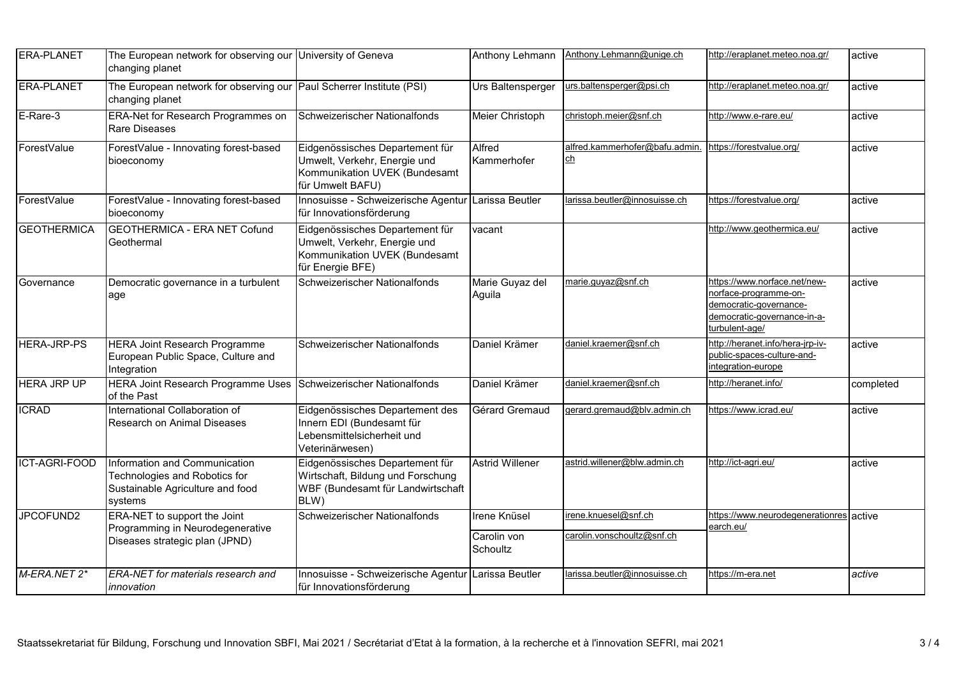| <b>ERA-PLANET</b>  | The European network for observing our University of Geneva<br>changing planet                                |                                                                                                                      | Anthony Lehmann           | Anthony.Lehmann@unige.ch             | http://eraplanet.meteo.noa.gr/                                                                                                   | active    |
|--------------------|---------------------------------------------------------------------------------------------------------------|----------------------------------------------------------------------------------------------------------------------|---------------------------|--------------------------------------|----------------------------------------------------------------------------------------------------------------------------------|-----------|
| ERA-PLANET         | The European network for observing our Paul Scherrer Institute (PSI)<br>changing planet                       |                                                                                                                      | Urs Baltensperger         | urs.baltensperger@psi.ch             | http://eraplanet.meteo.noa.gr/                                                                                                   | active    |
| E-Rare-3           | <b>ERA-Net for Research Programmes on</b><br>Rare Diseases                                                    | Schweizerischer Nationalfonds                                                                                        | Meier Christoph           | christoph.meier@snf.ch               | http://www.e-rare.eu/                                                                                                            | active    |
| ForestValue        | ForestValue - Innovating forest-based<br>bioeconomy                                                           | Eidgenössisches Departement für<br>Umwelt, Verkehr, Energie und<br>Kommunikation UVEK (Bundesamt<br>für Umwelt BAFU) | Alfred<br>Kammerhofer     | alfred.kammerhofer@bafu.admin.<br>ch | https://forestvalue.org/                                                                                                         | active    |
| ForestValue        | ForestValue - Innovating forest-based<br>bioeconomy                                                           | Innosuisse - Schweizerische Agentur Larissa Beutler<br>für Innovationsförderung                                      |                           | larissa.beutler@innosuisse.ch        | https://forestvalue.org/                                                                                                         | active    |
| <b>GEOTHERMICA</b> | <b>GEOTHERMICA - ERA NET Cofund</b><br>Geothermal                                                             | Eidgenössisches Departement für<br>Umwelt, Verkehr, Energie und<br>Kommunikation UVEK (Bundesamt<br>für Energie BFE) | vacant                    |                                      | http://www.geothermica.eu/                                                                                                       | active    |
| Governance         | Democratic governance in a turbulent<br>age                                                                   | Schweizerischer Nationalfonds                                                                                        | Marie Guyaz del<br>Aguila | marie.quyaz@snf.ch                   | -1ttps://www.norface.net/new-<br>-norface-programme-on<br>democratic-governance-<br>democratic-governance-in-a-<br>urbulent-age/ | active    |
| <b>HERA-JRP-PS</b> | <b>HERA Joint Research Programme</b><br>European Public Space, Culture and<br>Integration                     | Schweizerischer Nationalfonds                                                                                        | Daniel Krämer             | daniel.kraemer@snf.ch                | http://heranet.info/hera-jrp-iv-<br>public-spaces-culture-and-<br>ntegration-europe                                              | active    |
| <b>HERA JRP UP</b> | <b>HERA Joint Research Programme Uses</b><br>of the Past                                                      | Schweizerischer Nationalfonds                                                                                        | Daniel Krämer             | daniel.kraemer@snf.ch                | http://heranet.info/                                                                                                             | completed |
| <b>ICRAD</b>       | International Collaboration of<br><b>Research on Animal Diseases</b>                                          | Eidgenössisches Departement des<br>Innern EDI (Bundesamt für<br>Lebensmittelsicherheit und<br>Veterinärwesen)        | Gérard Gremaud            | gerard.gremaud@blv.admin.ch          | https://www.icrad.eu/                                                                                                            | active    |
| ICT-AGRI-FOOD      | Information and Communication<br>Technologies and Robotics for<br>Sustainable Agriculture and food<br>systems | Eidgenössisches Departement für<br>Wirtschaft, Bildung und Forschung<br>WBF (Bundesamt für Landwirtschaft<br>BLW)    | <b>Astrid Willener</b>    | astrid.willener@blw.admin.ch         | http://ict-agri.eu/                                                                                                              | active    |
| JPCOFUND2          | ERA-NET to support the Joint<br>Programming in Neurodegenerative                                              | Schweizerischer Nationalfonds                                                                                        | <b>Irene Knüsel</b>       | irene.knuesel@snf.ch                 | https://www.neurodegenerationres active<br>earch.eu/                                                                             |           |
|                    | Diseases strategic plan (JPND)                                                                                |                                                                                                                      | Carolin von<br>Schoultz   | carolin.vonschoultz@snf.ch           |                                                                                                                                  |           |
| M-ERA.NET 2*       | ERA-NET for materials research and<br>innovation                                                              | Innosuisse - Schweizerische Agentur Larissa Beutler<br>für Innovationsförderung                                      |                           | larissa.beutler@innosuisse.ch        | https://m-era.net                                                                                                                | active    |